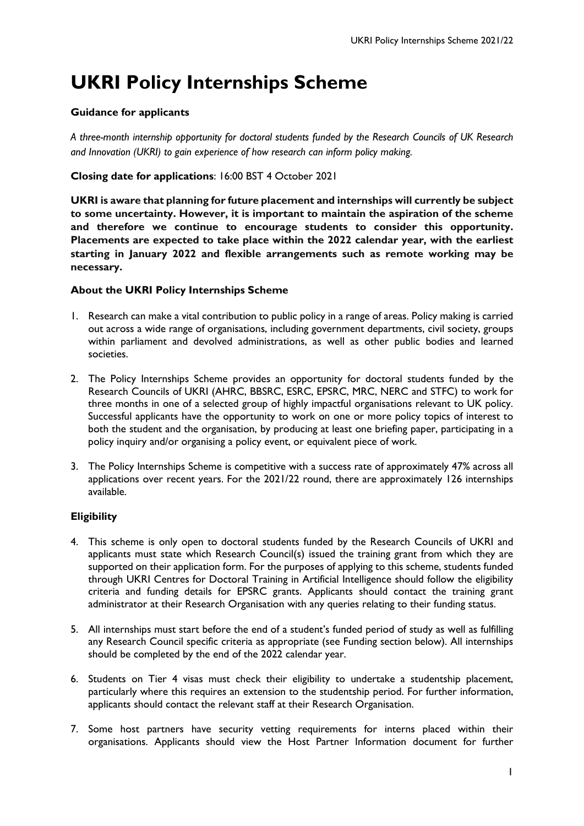# **UKRI Policy Internships Scheme**

# **Guidance for applicants**

*A three-month internship opportunity for doctoral students funded by the Research Councils of UK Research and Innovation (UKRI) to gain experience of how research can inform policy making.*

# **Closing date for applications**: 16:00 BST 4 October 2021

**UKRI is aware that planning for future placement and internships will currently be subject to some uncertainty. However, it is important to maintain the aspiration of the scheme and therefore we continue to encourage students to consider this opportunity. Placements are expected to take place within the 2022 calendar year, with the earliest starting in January 2022 and flexible arrangements such as remote working may be necessary.** 

# **About the UKRI Policy Internships Scheme**

- 1. Research can make a vital contribution to public policy in a range of areas. Policy making is carried out across a wide range of organisations, including government departments, civil society, groups within parliament and devolved administrations, as well as other public bodies and learned societies.
- 2. The Policy Internships Scheme provides an opportunity for doctoral students funded by the Research Councils of UKRI (AHRC, BBSRC, ESRC, EPSRC, MRC, NERC and STFC) to work for three months in one of a selected group of highly impactful organisations relevant to UK policy. Successful applicants have the opportunity to work on one or more policy topics of interest to both the student and the organisation, by producing at least one briefing paper, participating in a policy inquiry and/or organising a policy event, or equivalent piece of work.
- 3. The Policy Internships Scheme is competitive with a success rate of approximately 47% across all applications over recent years. For the 2021/22 round, there are approximately 126 internships available.

# **Eligibility**

- 4. This scheme is only open to doctoral students funded by the Research Councils of UKRI and applicants must state which Research Council(s) issued the training grant from which they are supported on their application form. For the purposes of applying to this scheme, students funded through UKRI Centres for Doctoral Training in Artificial Intelligence should follow the eligibility criteria and funding details for EPSRC grants. Applicants should contact the training grant administrator at their Research Organisation with any queries relating to their funding status.
- 5. All internships must start before the end of a student's funded period of study as well as fulfilling any Research Council specific criteria as appropriate (see Funding section below). All internships should be completed by the end of the 2022 calendar year.
- 6. Students on Tier 4 visas must check their eligibility to undertake a studentship placement, particularly where this requires an extension to the studentship period. For further information, applicants should contact the relevant staff at their Research Organisation.
- 7. Some host partners have security vetting requirements for interns placed within their organisations. Applicants should view the Host Partner Information document for further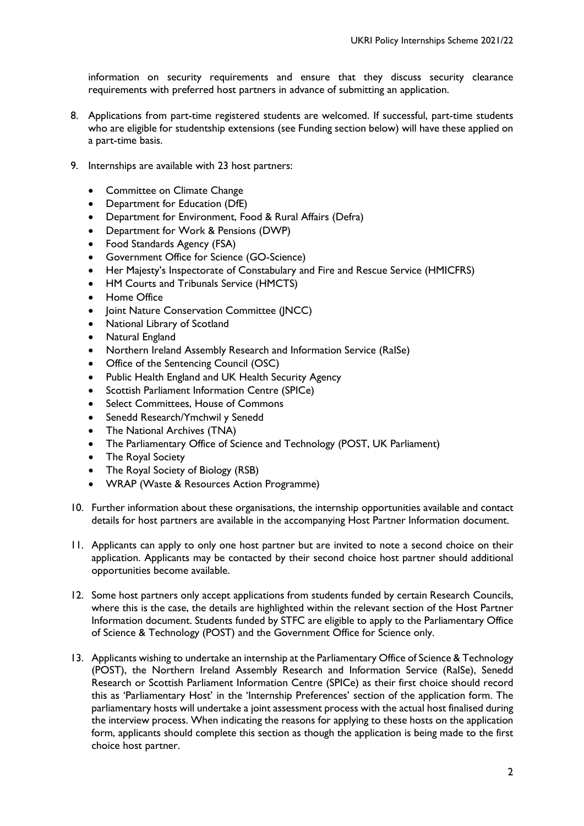information on security requirements and ensure that they discuss security clearance requirements with preferred host partners in advance of submitting an application.

- 8. Applications from part-time registered students are welcomed. If successful, part-time students who are eligible for studentship extensions (see Funding section below) will have these applied on a part-time basis.
- 9. Internships are available with 23 host partners:
	- Committee on Climate Change
	- Department for Education (DfE)
	- Department for Environment, Food & Rural Affairs (Defra)
	- Department for Work & Pensions (DWP)
	- Food Standards Agency (FSA)
	- Government Office for Science (GO-Science)
	- Her Majesty's Inspectorate of Constabulary and Fire and Rescue Service (HMICFRS)
	- HM Courts and Tribunals Service (HMCTS)
	- Home Office
	- Joint Nature Conservation Committee (JNCC)
	- National Library of Scotland
	- Natural England
	- Northern Ireland Assembly Research and Information Service (RaISe)
	- Office of the Sentencing Council (OSC)
	- Public Health England and UK Health Security Agency
	- Scottish Parliament Information Centre (SPICe)
	- Select Committees, House of Commons
	- Senedd Research/Ymchwil y Senedd
	- The National Archives (TNA)
	- The Parliamentary Office of Science and Technology (POST, UK Parliament)
	- The Royal Society
	- The Royal Society of Biology (RSB)
	- WRAP (Waste & Resources Action Programme)
- 10. Further information about these organisations, the internship opportunities available and contact details for host partners are available in the accompanying Host Partner Information document.
- 11. Applicants can apply to only one host partner but are invited to note a second choice on their application. Applicants may be contacted by their second choice host partner should additional opportunities become available.
- 12. Some host partners only accept applications from students funded by certain Research Councils, where this is the case, the details are highlighted within the relevant section of the Host Partner Information document. Students funded by STFC are eligible to apply to the Parliamentary Office of Science & Technology (POST) and the Government Office for Science only.
- 13. Applicants wishing to undertake an internship at the Parliamentary Office of Science & Technology (POST), the Northern Ireland Assembly Research and Information Service (RaISe), Senedd Research or Scottish Parliament Information Centre (SPICe) as their first choice should record this as 'Parliamentary Host' in the 'Internship Preferences' section of the application form. The parliamentary hosts will undertake a joint assessment process with the actual host finalised during the interview process. When indicating the reasons for applying to these hosts on the application form, applicants should complete this section as though the application is being made to the first choice host partner.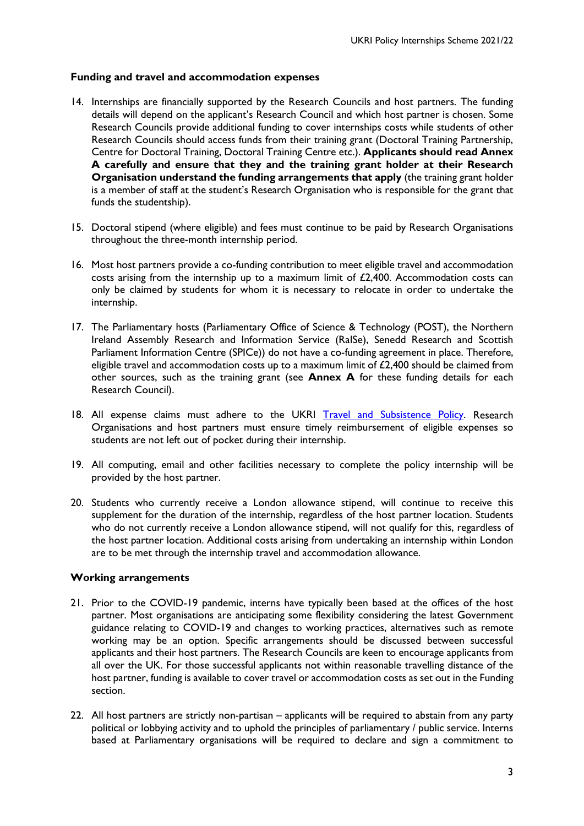## **Funding and travel and accommodation expenses**

- 14. Internships are financially supported by the Research Councils and host partners. The funding details will depend on the applicant's Research Council and which host partner is chosen. Some Research Councils provide additional funding to cover internships costs while students of other Research Councils should access funds from their training grant (Doctoral Training Partnership, Centre for Doctoral Training, Doctoral Training Centre etc.). **Applicants should read Annex A carefully and ensure that they and the training grant holder at their Research Organisation understand the funding arrangements that apply** (the training grant holder is a member of staff at the student's Research Organisation who is responsible for the grant that funds the studentship).
- 15. Doctoral stipend (where eligible) and fees must continue to be paid by Research Organisations throughout the three-month internship period.
- 16. Most host partners provide a co-funding contribution to meet eligible travel and accommodation costs arising from the internship up to a maximum limit of £2,400. Accommodation costs can only be claimed by students for whom it is necessary to relocate in order to undertake the internship.
- 17. The Parliamentary hosts (Parliamentary Office of Science & Technology (POST), the Northern Ireland Assembly Research and Information Service (RaISe), Senedd Research and Scottish Parliament Information Centre (SPICe)) do not have a co-funding agreement in place. Therefore, eligible travel and accommodation costs up to a maximum limit of £2,400 should be claimed from other sources, such as the training grant (see **Annex A** for these funding details for each Research Council).
- 18. All expense claims must adhere to the UKRI Travel [and Subsistence Policy.](https://www.ukri.org/wp-content/uploads/2020/10/UKRI-081020-TravelAndSubsistencePolicy.pdf) Research Organisations and host partners must ensure timely reimbursement of eligible expenses so students are not left out of pocket during their internship.
- 19. All computing, email and other facilities necessary to complete the policy internship will be provided by the host partner.
- 20. Students who currently receive a London allowance stipend, will continue to receive this supplement for the duration of the internship, regardless of the host partner location. Students who do not currently receive a London allowance stipend, will not qualify for this, regardless of the host partner location. Additional costs arising from undertaking an internship within London are to be met through the internship travel and accommodation allowance.

## **Working arrangements**

- 21. Prior to the COVID-19 pandemic, interns have typically been based at the offices of the host partner. Most organisations are anticipating some flexibility considering the latest Government guidance relating to COVID-19 and changes to working practices, alternatives such as remote working may be an option. Specific arrangements should be discussed between successful applicants and their host partners. The Research Councils are keen to encourage applicants from all over the UK. For those successful applicants not within reasonable travelling distance of the host partner, funding is available to cover travel or accommodation costs as set out in the Funding section.
- 22. All host partners are strictly non-partisan applicants will be required to abstain from any party political or lobbying activity and to uphold the principles of parliamentary / public service. Interns based at Parliamentary organisations will be required to declare and sign a commitment to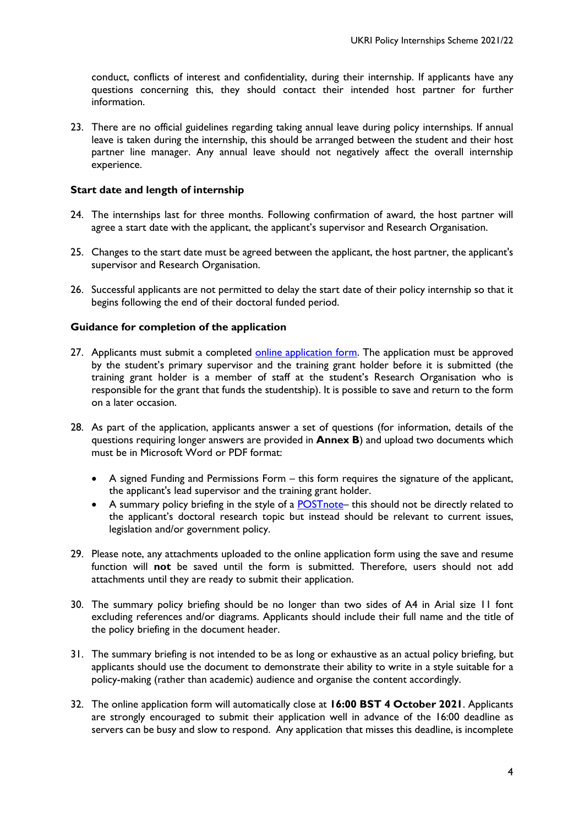conduct, conflicts of interest and confidentiality, during their internship. If applicants have any questions concerning this, they should contact their intended host partner for further information.

23. There are no official guidelines regarding taking annual leave during policy internships. If annual leave is taken during the internship, this should be arranged between the student and their host partner line manager. Any annual leave should not negatively affect the overall internship experience.

## **Start date and length of internship**

- 24. The internships last for three months. Following confirmation of award, the host partner will agree a start date with the applicant, the applicant's supervisor and Research Organisation.
- 25. Changes to the start date must be agreed between the applicant, the host partner, the applicant's supervisor and Research Organisation.
- 26. Successful applicants are not permitted to delay the start date of their policy internship so that it begins following the end of their doctoral funded period.

## **Guidance for completion of the application**

- 27. Applicants must submit a completed [online application form.](https://nerc.formstack.com/forms/policyinternships2021) The application must be approved by the student's primary supervisor and the training grant holder before it is submitted (the training grant holder is a member of staff at the student's Research Organisation who is responsible for the grant that funds the studentship). It is possible to save and return to the form on a later occasion.
- 28. As part of the application, applicants answer a set of questions (for information, details of the questions requiring longer answers are provided in **Annex B**) and upload two documents which must be in Microsoft Word or PDF format:
	- A signed Funding and Permissions Form this form requires the signature of the applicant, the applicant's lead supervisor and the training grant holder.
	- A summary policy briefing in the style of a [POSTnote–](http://www.parliament.uk/mps-lords-and-offices/offices/bicameral/post/publications/postnotes/) this should not be directly related to the applicant's doctoral research topic but instead should be relevant to current issues, legislation and/or government policy.
- 29. Please note, any attachments uploaded to the online application form using the save and resume function will **not** be saved until the form is submitted. Therefore, users should not add attachments until they are ready to submit their application.
- 30. The summary policy briefing should be no longer than two sides of A4 in Arial size 11 font excluding references and/or diagrams. Applicants should include their full name and the title of the policy briefing in the document header.
- 31. The summary briefing is not intended to be as long or exhaustive as an actual policy briefing, but applicants should use the document to demonstrate their ability to write in a style suitable for a policy-making (rather than academic) audience and organise the content accordingly.
- 32. The online application form will automatically close at **16:00 BST 4 October 2021**. Applicants are strongly encouraged to submit their application well in advance of the 16:00 deadline as servers can be busy and slow to respond. Any application that misses this deadline, is incomplete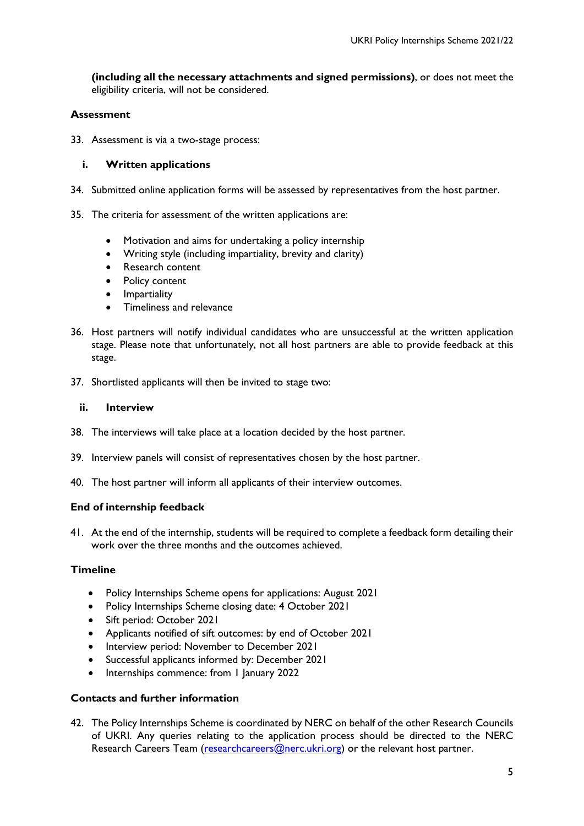**(including all the necessary attachments and signed permissions)**, or does not meet the eligibility criteria, will not be considered.

## **Assessment**

33. Assessment is via a two-stage process:

## **i. Written applications**

- 34. Submitted online application forms will be assessed by representatives from the host partner.
- 35. The criteria for assessment of the written applications are:
	- Motivation and aims for undertaking a policy internship
	- Writing style (including impartiality, brevity and clarity)
	- Research content
	- Policy content
	- Impartiality
	- Timeliness and relevance
- 36. Host partners will notify individual candidates who are unsuccessful at the written application stage. Please note that unfortunately, not all host partners are able to provide feedback at this stage.
- 37. Shortlisted applicants will then be invited to stage two:

#### **ii. Interview**

- 38. The interviews will take place at a location decided by the host partner.
- 39. Interview panels will consist of representatives chosen by the host partner.
- 40. The host partner will inform all applicants of their interview outcomes.

## **End of internship feedback**

41. At the end of the internship, students will be required to complete a feedback form detailing their work over the three months and the outcomes achieved.

## **Timeline**

- Policy Internships Scheme opens for applications: August 2021
- Policy Internships Scheme closing date: 4 October 2021
- Sift period: October 2021
- Applicants notified of sift outcomes: by end of October 2021
- Interview period: November to December 2021
- Successful applicants informed by: December 2021
- Internships commence: from 1 January 2022

## **Contacts and further information**

42. The Policy Internships Scheme is coordinated by NERC on behalf of the other Research Councils of UKRI. Any queries relating to the application process should be directed to the NERC Research Careers Team [\(researchcareers@nerc.ukri.org\)](mailto:researchcareers@nerc.ukri.org) or the relevant host partner.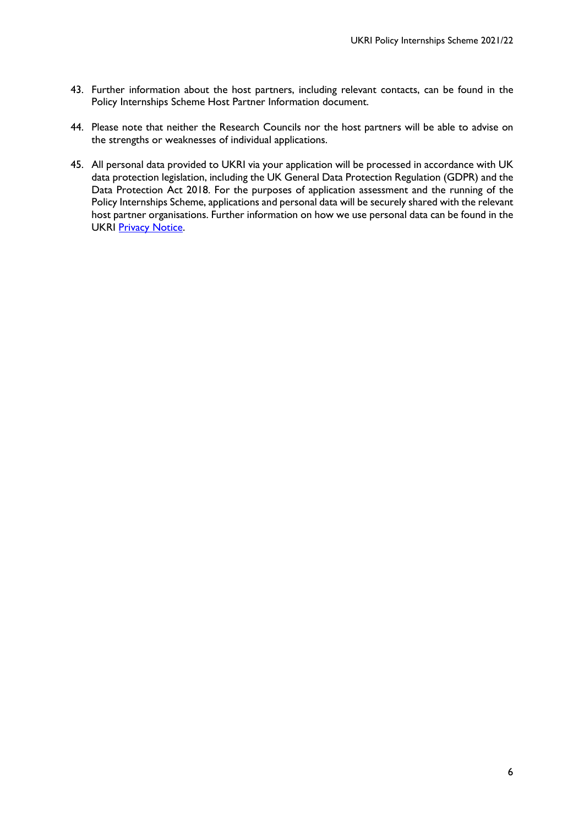- 43. Further information about the host partners, including relevant contacts, can be found in the Policy Internships Scheme Host Partner Information document.
- 44. Please note that neither the Research Councils nor the host partners will be able to advise on the strengths or weaknesses of individual applications.
- 45. All personal data provided to UKRI via your application will be processed in accordance with UK data protection legislation, including the UK General Data Protection Regulation (GDPR) and the Data Protection Act 2018. For the purposes of application assessment and the running of the Policy Internships Scheme, applications and personal data will be securely shared with the relevant host partner organisations. Further information on how we use personal data can be found in the UKRI [Privacy Notice.](https://www.ukri.org/privacy-notice/)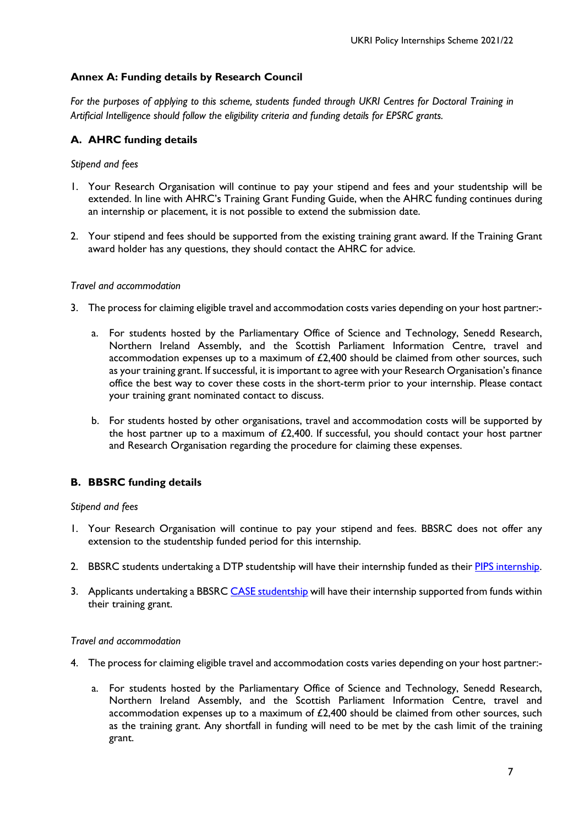## **Annex A: Funding details by Research Council**

*For the purposes of applying to this scheme, students funded through UKRI Centres for Doctoral Training in Artificial Intelligence should follow the eligibility criteria and funding details for EPSRC grants.*

## **A. AHRC funding details**

#### *Stipend and fees*

- 1. Your Research Organisation will continue to pay your stipend and fees and your studentship will be extended. In line with AHRC's Training Grant Funding Guide, when the AHRC funding continues during an internship or placement, it is not possible to extend the submission date.
- 2. Your stipend and fees should be supported from the existing training grant award. If the Training Grant award holder has any questions, they should contact the AHRC for advice.

#### *Travel and accommodation*

- 3. The process for claiming eligible travel and accommodation costs varies depending on your host partner:
	- a. For students hosted by the Parliamentary Office of Science and Technology, Senedd Research, Northern Ireland Assembly, and the Scottish Parliament Information Centre, travel and accommodation expenses up to a maximum of  $£2,400$  should be claimed from other sources, such as your training grant. If successful, it is important to agree with your Research Organisation's finance office the best way to cover these costs in the short-term prior to your internship. Please contact your training grant nominated contact to discuss.
	- b. For students hosted by other organisations, travel and accommodation costs will be supported by the host partner up to a maximum of  $£2,400$ . If successful, you should contact your host partner and Research Organisation regarding the procedure for claiming these expenses.

## **B. BBSRC funding details**

## *Stipend and fees*

- 1. Your Research Organisation will continue to pay your stipend and fees. BBSRC does not offer any extension to the studentship funded period for this internship.
- 2. BBSRC students undertaking a DTP studentship will have their internship funded as their PIPS internship.
- 3. Applicants undertaking a BBSRC [CASE studentship](http://www.bbsrc.ac.uk/skills/investing-doctoral-training/case-partnerships/) will have their internship supported from funds within their training grant.

#### *Travel and accommodation*

- 4. The process for claiming eligible travel and accommodation costs varies depending on your host partner:
	- a. For students hosted by the Parliamentary Office of Science and Technology, Senedd Research, Northern Ireland Assembly, and the Scottish Parliament Information Centre, travel and accommodation expenses up to a maximum of £2,400 should be claimed from other sources, such as the training grant. Any shortfall in funding will need to be met by the cash limit of the training grant.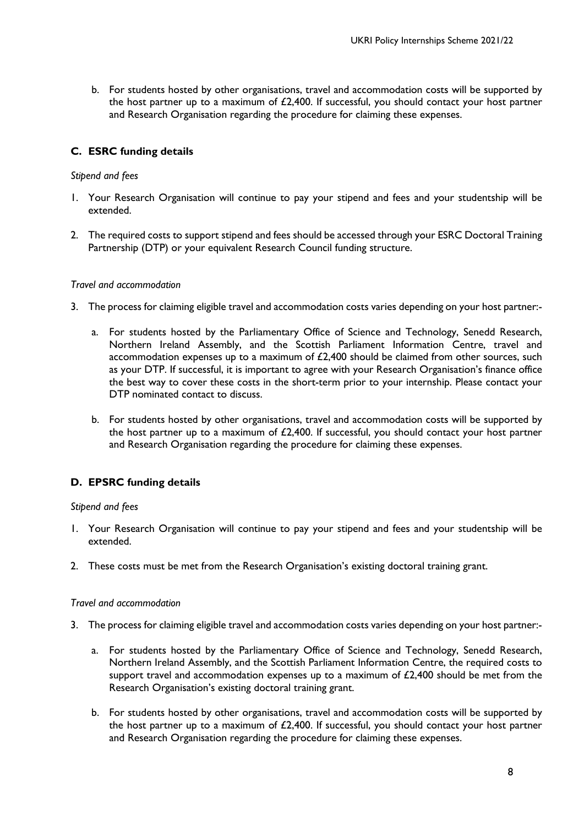b. For students hosted by other organisations, travel and accommodation costs will be supported by the host partner up to a maximum of  $£2,400$ . If successful, you should contact your host partner and Research Organisation regarding the procedure for claiming these expenses.

# **C. ESRC funding details**

#### *Stipend and fees*

- 1. Your Research Organisation will continue to pay your stipend and fees and your studentship will be extended.
- 2. The required costs to support stipend and fees should be accessed through your ESRC Doctoral Training Partnership (DTP) or your equivalent Research Council funding structure.

#### *Travel and accommodation*

- 3. The process for claiming eligible travel and accommodation costs varies depending on your host partner:
	- a. For students hosted by the Parliamentary Office of Science and Technology, Senedd Research, Northern Ireland Assembly, and the Scottish Parliament Information Centre, travel and accommodation expenses up to a maximum of £2,400 should be claimed from other sources, such as your DTP. If successful, it is important to agree with your Research Organisation's finance office the best way to cover these costs in the short-term prior to your internship. Please contact your DTP nominated contact to discuss.
	- b. For students hosted by other organisations, travel and accommodation costs will be supported by the host partner up to a maximum of £2,400. If successful, you should contact your host partner and Research Organisation regarding the procedure for claiming these expenses.

## **D. EPSRC funding details**

## *Stipend and fees*

- 1. Your Research Organisation will continue to pay your stipend and fees and your studentship will be extended.
- 2. These costs must be met from the Research Organisation's existing doctoral training grant.

#### *Travel and accommodation*

- 3. The process for claiming eligible travel and accommodation costs varies depending on your host partner:
	- a. For students hosted by the Parliamentary Office of Science and Technology, Senedd Research, Northern Ireland Assembly, and the Scottish Parliament Information Centre, the required costs to support travel and accommodation expenses up to a maximum of  $£2,400$  should be met from the Research Organisation's existing doctoral training grant.
	- b. For students hosted by other organisations, travel and accommodation costs will be supported by the host partner up to a maximum of £2,400. If successful, you should contact your host partner and Research Organisation regarding the procedure for claiming these expenses.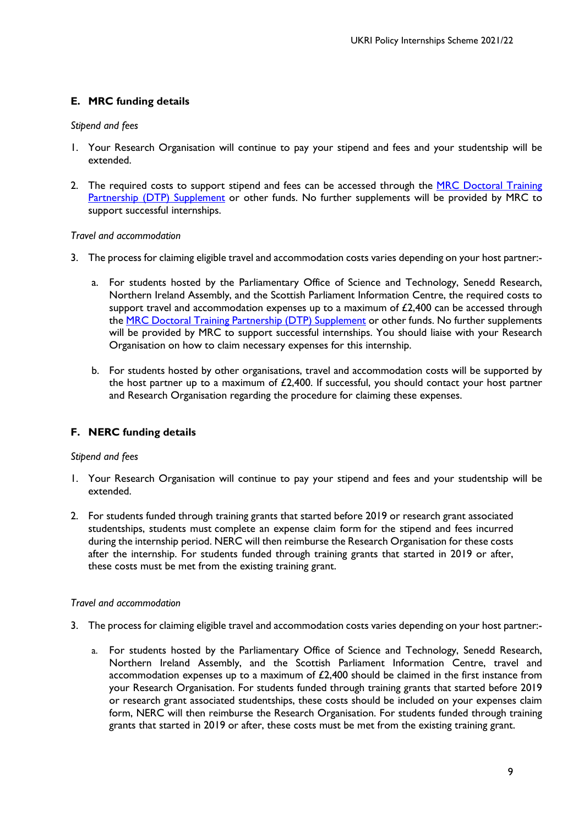# **E. MRC funding details**

## *Stipend and fees*

- 1. Your Research Organisation will continue to pay your stipend and fees and your studentship will be extended.
- 2. The required costs to support stipend and fees can be accessed through the MRC Doctoral Training [Partnership \(DTP\) Supplement](https://www.mrc.ac.uk/skills-careers/studentships/studentship-guidance/additional-support/) or other funds. No further supplements will be provided by MRC to support successful internships.

#### *Travel and accommodation*

- 3. The process for claiming eligible travel and accommodation costs varies depending on your host partner:
	- a. For students hosted by the Parliamentary Office of Science and Technology, Senedd Research, Northern Ireland Assembly, and the Scottish Parliament Information Centre, the required costs to support travel and accommodation expenses up to a maximum of  $f2.400$  can be accessed through the [MRC Doctoral Training Partnership \(DTP\) Supplement](https://www.mrc.ac.uk/skills-careers/studentships/studentship-guidance/additional-support/) or other funds. No further supplements will be provided by MRC to support successful internships. You should liaise with your Research Organisation on how to claim necessary expenses for this internship.
	- b. For students hosted by other organisations, travel and accommodation costs will be supported by the host partner up to a maximum of  $£2,400$ . If successful, you should contact your host partner and Research Organisation regarding the procedure for claiming these expenses.

# **F. NERC funding details**

## *Stipend and fees*

- 1. Your Research Organisation will continue to pay your stipend and fees and your studentship will be extended.
- 2. For students funded through training grants that started before 2019 or research grant associated studentships, students must complete an expense claim form for the stipend and fees incurred during the internship period. NERC will then reimburse the Research Organisation for these costs after the internship. For students funded through training grants that started in 2019 or after, these costs must be met from the existing training grant.

## *Travel and accommodation*

- 3. The process for claiming eligible travel and accommodation costs varies depending on your host partner:
	- a. For students hosted by the Parliamentary Office of Science and Technology, Senedd Research, Northern Ireland Assembly, and the Scottish Parliament Information Centre, travel and accommodation expenses up to a maximum of  $£2,400$  should be claimed in the first instance from your Research Organisation. For students funded through training grants that started before 2019 or research grant associated studentships, these costs should be included on your expenses claim form, NERC will then reimburse the Research Organisation. For students funded through training grants that started in 2019 or after, these costs must be met from the existing training grant.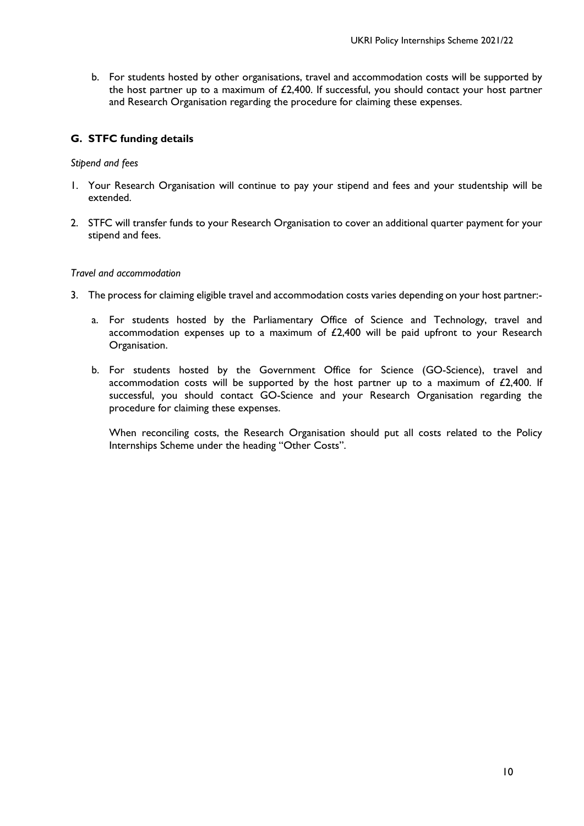b. For students hosted by other organisations, travel and accommodation costs will be supported by the host partner up to a maximum of £2,400. If successful, you should contact your host partner and Research Organisation regarding the procedure for claiming these expenses.

# **G. STFC funding details**

## *Stipend and fees*

- 1. Your Research Organisation will continue to pay your stipend and fees and your studentship will be extended.
- 2. STFC will transfer funds to your Research Organisation to cover an additional quarter payment for your stipend and fees.

## *Travel and accommodation*

- 3. The process for claiming eligible travel and accommodation costs varies depending on your host partner:
	- a. For students hosted by the Parliamentary Office of Science and Technology, travel and accommodation expenses up to a maximum of £2,400 will be paid upfront to your Research Organisation.
	- b. For students hosted by the Government Office for Science (GO-Science), travel and accommodation costs will be supported by the host partner up to a maximum of  $£2,400$ . If successful, you should contact GO-Science and your Research Organisation regarding the procedure for claiming these expenses.

When reconciling costs, the Research Organisation should put all costs related to the Policy Internships Scheme under the heading "Other Costs".